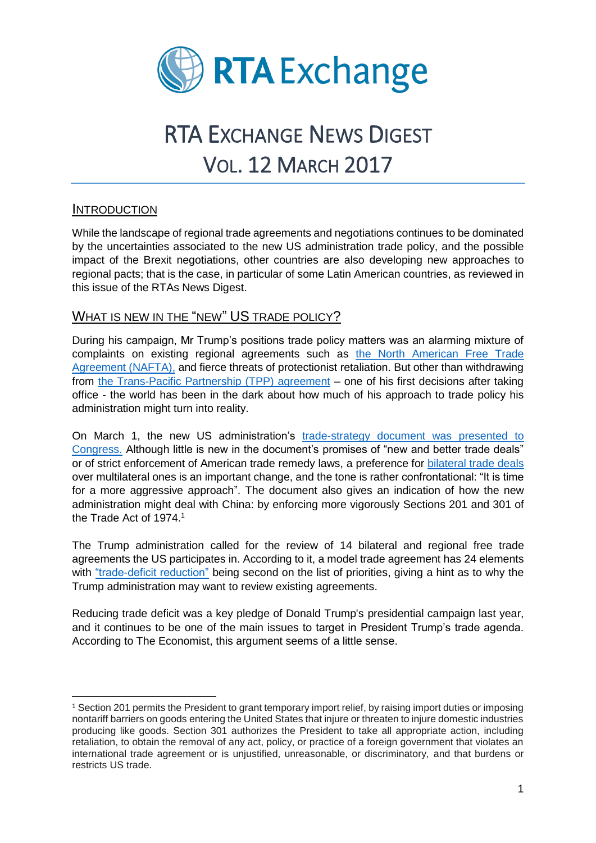

# RTA EXCHANGE NEWS DIGEST VOL. 12 MARCH 2017

### **INTRODUCTION**

While the landscape of regional trade agreements and negotiations continues to be dominated by the uncertainties associated to the new US administration trade policy, and the possible impact of the Brexit negotiations, other countries are also developing new approaches to regional pacts; that is the case, in particular of some Latin American countries, as reviewed in this issue of the RTAs News Digest.

## WHAT IS NEW IN THE "NEW" US TRADE POLICY?

During his campaign, Mr Trump's positions trade policy matters was an alarming mixture of complaints on existing regional agreements such as [the North American Free Trade](https://www.nafta-sec-alena.org/Home/Welcome)  [Agreement \(NAFTA\),](https://www.nafta-sec-alena.org/Home/Welcome) and fierce threats of protectionist retaliation. But other than withdrawing from [the Trans-Pacific Partnership \(TPP\) agreement](http://www.bbc.com/news/business-32498715) – one of his first decisions after taking office - the world has been in the dark about how much of his approach to trade policy his administration might turn into reality.

On March 1, the new US administration's [trade-strategy document was presented to](http://www.economist.com/news/finance-and-economics/21717998-it-will-be-hard-deal-china-today-if-it-were-japan-1980s-trump)  [Congress.](http://www.economist.com/news/finance-and-economics/21717998-it-will-be-hard-deal-china-today-if-it-were-japan-1980s-trump) Although little is new in the document's promises of "new and better trade deals" or of strict enforcement of American trade remedy laws, a preference for [bilateral trade deals](http://www.economist.com/news/finance-and-economics/21717998-it-will-be-hard-deal-china-today-if-it-were-japan-1980s-trump) over multilateral ones is an important change, and the tone is rather confrontational: "It is time for a more aggressive approach". The document also gives an indication of how the new administration might deal with China: by enforcing more vigorously Sections 201 and 301 of the Trade Act of 1974. 1

The Trump administration called for the review of 14 bilateral and regional free trade agreements the US participates in. According to it, a model trade agreement has 24 elements with ["trade-deficit reduction"](https://www.economist.com/news/finance-and-economics/21719499-it-will-find-they-are-not-blame-americas-trade-deficit-trump) being second on the list of priorities, giving a hint as to why the Trump administration may want to review existing agreements.

Reducing trade deficit was a key pledge of Donald Trump's presidential campaign last year, and it continues to be one of the main issues to target in President Trump's trade agenda. According to The Economist, this argument seems of a little sense.

 $\overline{a}$ <sup>1</sup> Section 201 permits the President to grant temporary import relief, by raising import duties or imposing nontariff barriers on goods entering the United States that injure or threaten to injure domestic industries producing like goods. Section 301 authorizes the President to take all appropriate action, including retaliation, to obtain the removal of any act, policy, or practice of a foreign government that violates an international trade agreement or is unjustified, unreasonable, or discriminatory, and that burdens or restricts US trade.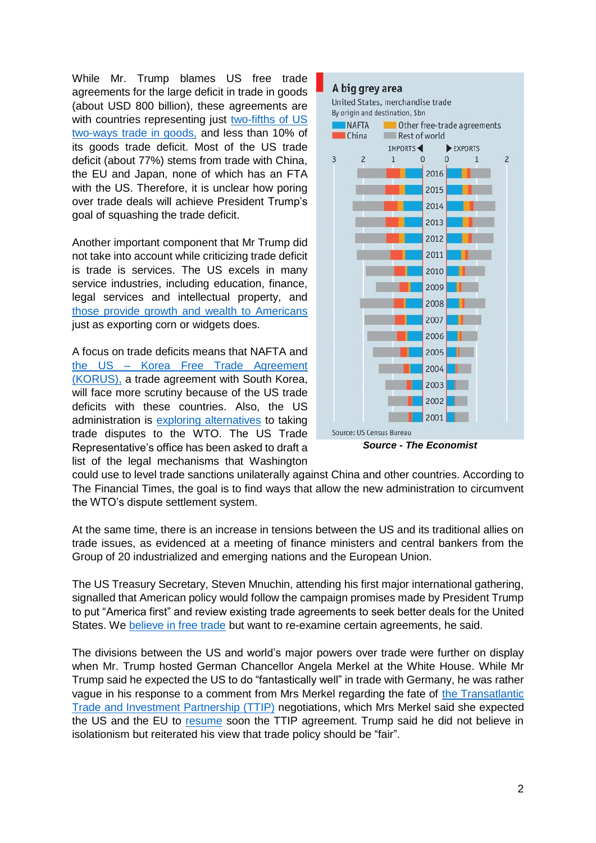While Mr. Trump blames US free trade agreements for the large deficit in trade in goods (about USD 800 billion), these agreements are with countries representing just two-fifths of US [two-ways trade in goods,](https://www.economist.com/news/finance-and-economics/21719499-it-will-find-they-are-not-blame-americas-trade-deficit-trump) and less than 10% of its goods trade deficit. Most of the US trade deficit (about 77%) stems from trade with China, the EU and Japan, none of which has an FTA with the US. Therefore, it is unclear how poring over trade deals will achieve President Trump's goal of squashing the trade deficit.

Another important component that Mr Trump did not take into account while criticizing trade deficit is trade is services. The US excels in many service industries, including education, finance, legal services and intellectual property, and [those provide growth and wealth to Americans](https://www.washingtonpost.com/politics/2017/live-updates/trump-white-house/real-time-fact-checking-and-analysis-of-trumps-address-to-congress/trump-criticizes-the-trade-deficit-but-leaves-out-an-important-figure/?utm_term=.b4022b23549f) just as exporting corn or widgets does.

A focus on trade deficits means that NAFTA and the US – [Korea Free Trade Agreement](https://ustr.gov/trade-agreements/free-trade-agreements/korus-fta)  [\(KORUS\),](https://ustr.gov/trade-agreements/free-trade-agreements/korus-fta) a trade agreement with South Korea, will face more scrutiny because of the US trade deficits with these countries. Also, the US administration is [exploring alternatives](https://www.ft.com/content/7bb991e4-fc38-11e6-96f8-3700c5664d30) to taking trade disputes to the WTO. The US Trade Representative's office has been asked to draft a list of the legal mechanisms that Washington



*Source - The Economist*

could use to level trade sanctions unilaterally against China and other countries. According to The Financial Times, the goal is to find ways that allow the new administration to circumvent the WTO's dispute settlement system.

At the same time, there is an increase in tensions between the US and its traditional allies on trade issues, as evidenced at a meeting of finance ministers and central bankers from the Group of 20 industrialized and emerging nations and the European Union.

The US Treasury Secretary, Steven Mnuchin, attending his first major international gathering, signalled that American policy would follow the campaign promises made by President Trump to put "America first" and review existing trade agreements to seek better deals for the United States. We [believe in free trade](https://www.nytimes.com/2017/03/18/business/group-of-20-summit-us-trade.html?emc=edit_nn_20170320&nl=morning-briefing&nlid=59885640&te=1&_r=0) but want to re-examine certain agreements, he said.

The divisions between the US and world's major powers over trade were further on display when Mr. Trump hosted German Chancellor Angela Merkel at the White House. While Mr Trump said he expected the US to do "fantastically well" in trade with Germany, he was rather vague in his response to a comment from Mrs Merkel regarding the fate of the Transatlantic [Trade and Investment Partnership \(TTIP\)](http://ec.europa.eu/trade/policy/in-focus/ttip/) negotiations, which Mrs Merkel said she expected the US and the EU to [resume](http://www.reuters.com/article/us-usa-trump-germany-idUSKBN16O0FM) soon the TTIP agreement. Trump said he did not believe in isolationism but reiterated his view that trade policy should be "fair".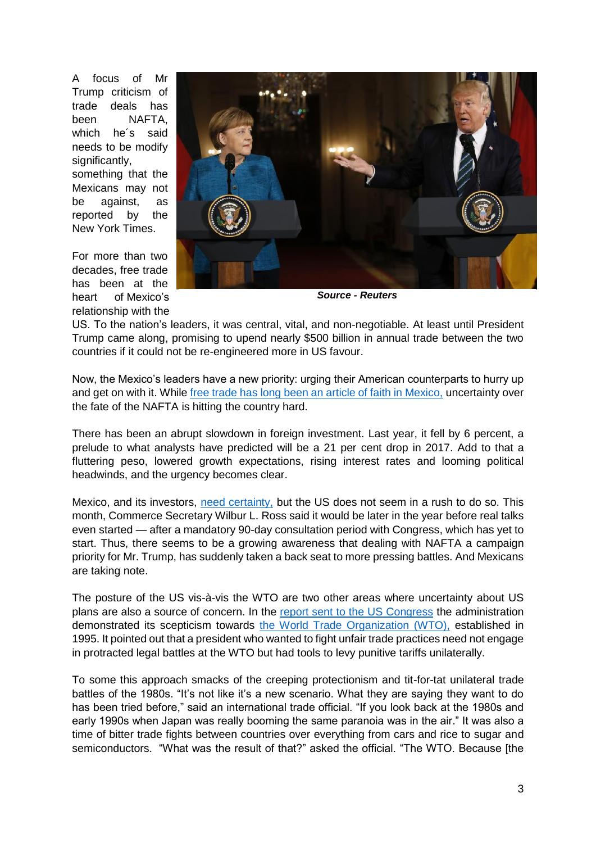A focus of Mr Trump criticism of trade deals has been NAFTA, which he´s said needs to be modify significantly.

something that the Mexicans may not be against, as reported by the New York Times.

For more than two decades, free trade has been at the heart of [Mexico's](http://topics.nytimes.com/top/news/international/countriesandterritories/mexico/index.html?inline=nyt-geo) relationship with the



*Source - Reuters*

US. To the nation's leaders, it was central, vital, and non-negotiable. At least until President Trump came along, promising to upend nearly \$500 billion in annual trade between the two countries if it could not be re-engineered more in US favour.

Now, the Mexico's leaders have a new priority: urging their American counterparts to hurry up and get on with it. While [free trade has long been an article of faith in Mexico,](https://www.nytimes.com/2017/03/25/world/americas/nafta-renegotiation-mexico.html?hp&action=click&pgtype=Homepage&clickSource=story-heading&module=first-column-region®ion=top-news&WT.nav=top-news&_r=0) uncertainty over the fate of the NAFTA is hitting the country hard.

There has been an abrupt slowdown in foreign investment. Last year, it fell by 6 percent, a prelude to what analysts have predicted will be a 21 per cent drop in 2017. Add to that a fluttering peso, lowered growth expectations, rising interest rates and looming political headwinds, and the urgency becomes clear.

Mexico, and its investors, [need certainty,](https://www.nytimes.com/2017/03/25/world/americas/nafta-renegotiation-mexico.html?hp&action=click&pgtype=Homepage&clickSource=story-heading&module=first-column-region®ion=top-news&WT.nav=top-news&_r=0) but the US does not seem in a rush to do so. This month, Commerce Secretary Wilbur L. Ross said it would be later in the year before real talks even [started](mailto:https://www.bloomberg.com/politics/articles/2017-03-08/nafta-talks-likely-won-t-begin-until-later-this-year-ross-says) — after a mandatory 90-day consultation period with Congress, which has yet to start. Thus, there seems to be a growing awareness that dealing with NAFTA a campaign priority for Mr. Trump, has suddenly taken a back seat to more pressing battles. And Mexicans are taking note.

The posture of the US vis-à-vis the WTO are two other areas where uncertainty about US plans are also a source of concern. In the [report sent to the US Congress](https://www.ft.com/content/53c23e04-0316-11e7-aa5b-6bb07f5c8e12?desktop=true&segmentId=7c8f09b9-9b61-4fbb-9430-9208a9e233c8&hash=myft:notification:daily-email:content:headline:html) the administration demonstrated its scepticism towards [the World Trade Organization](https://www.wto.org/) (WTO), established in 1995. It pointed out that a president who wanted to fight unfair trade practices need not engage in protracted legal battles at the WTO but had tools to levy punitive tariffs unilaterally.

To some this approach smacks of the creeping protectionism and tit-for-tat unilateral trade battles of the 1980s. "It's not like it's a new scenario. What they are saying they want to do has been tried before," said an international trade official. "If you look back at the 1980s and early 1990s when Japan was really booming the same paranoia was in the air." It was also a time of bitter trade fights between countries over everything from cars and rice to sugar and semiconductors. "What was the result of that?" asked the official. "The WTO. Because [the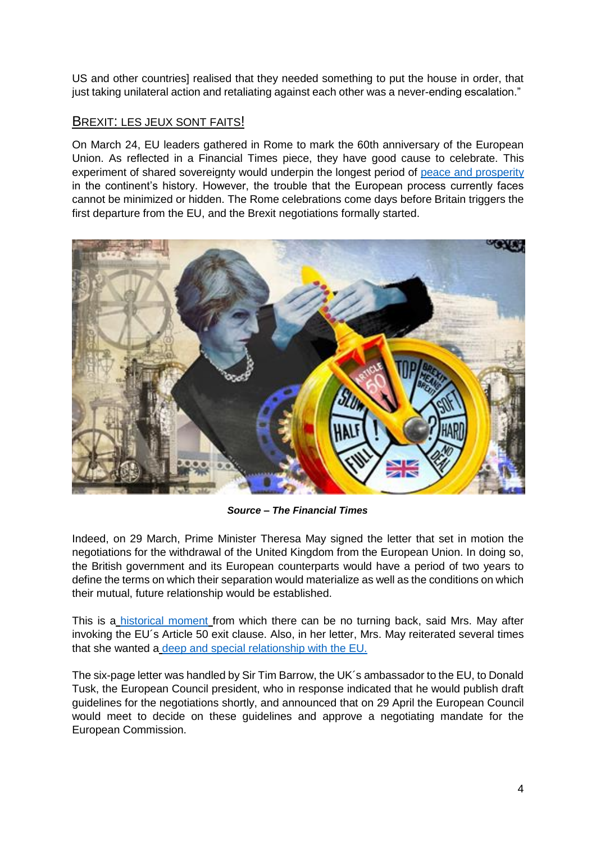US and other countries] realised that they needed something to put the house in order, that just taking unilateral action and retaliating against each other was a never-ending escalation."

## BREXIT: LES JEUX SONT FAITS!

On March 24, EU leaders gathered in Rome to mark the 60th anniversary of the European Union. As reflected in a Financial Times piece, they have good cause to celebrate. This experiment of shared sovereignty would underpin the longest period of [peace and prosperity](https://www.ft.com/content/7c6116ac-1084-11e7-b030-768954394623) in the continent's history. However, the trouble that the European process currently faces cannot be minimized or hidden. The Rome celebrations come days before Britain triggers the first departure from the EU, and the Brexit negotiations formally started.



*Source – The Financial Times*

Indeed, on 29 March, Prime Minister Theresa May signed the letter that set in motion the negotiations for the withdrawal of the United Kingdom from the European Union. In doing so, the British government and its European counterparts would have a period of two years to define the terms on which their separation would materialize as well as the conditions on which their mutual, future relationship would be established.

This is a [historical moment](https://www.ft.com/content/22c0d426-1466-11e7-b0c1-37e417ee6c76) from which there can be no turning back, said Mrs. May after invoking the EU´s Article 50 exit clause. Also, in her letter, Mrs. May reiterated several times that she wanted a [deep and special relationship with the EU.](http://www.economist.com/news/britain/21719758-it-leaves-britain-little-time-get-through-bulging-contentious-agenda-two-year-countdown?cid1=cust/ddnew/n/n/n/20170329n/owned/n/n/nwl/n/n/E/email)

The six-page letter was handled by Sir Tim Barrow, the UK´s ambassador to the EU, to Donald Tusk, the European Council president, who in response indicated that he would publish draft guidelines for the negotiations shortly, and announced that on 29 April the European Council would meet to decide on these guidelines and approve a negotiating mandate for the European Commission.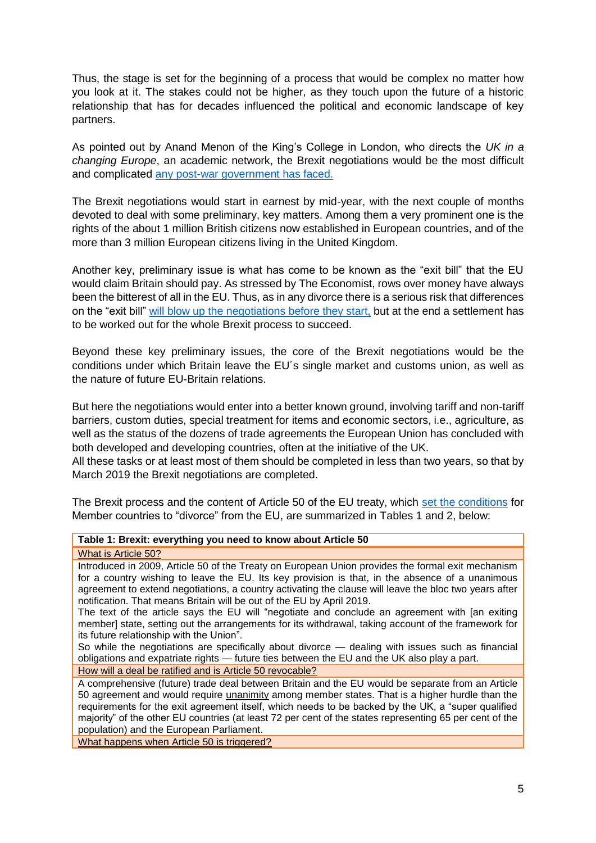Thus, the stage is set for the beginning of a process that would be complex no matter how you look at it. The stakes could not be higher, as they touch upon the future of a historic relationship that has for decades influenced the political and economic landscape of key partners.

As pointed out by Anand Menon of the King's College in London, who directs the *UK in a changing Europe*, an academic network, the Brexit negotiations would be the most difficult and complicated [any post-war government has faced.](http://www.economist.com/news/britain/21719758-it-leaves-britain-little-time-get-through-bulging-contentious-agenda-two-year-countdown?cid1=cust/ddnew/n/n/n/20170329n/owned/n/n/nwl/n/n/E/email)

The Brexit negotiations would start in earnest by mid-year, with the next couple of months devoted to deal with some preliminary, key matters. Among them a very prominent one is the rights of the about 1 million British citizens now established in European countries, and of the more than 3 million European citizens living in the United Kingdom.

Another key, preliminary issue is what has come to be known as the "exit bill" that the EU would claim Britain should pay. As stressed by The Economist, rows over money have always been the bitterest of all in the EU. Thus, as in any divorce there is a serious risk that differences on the "exit bill" [will blow up the negotiations before they start,](http://www.economist.com/news/britain/21719758-it-leaves-britain-little-time-get-through-bulging-contentious-agenda-two-year-countdown?cid1=cust/ddnew/n/n/n/20170329n/owned/n/n/nwl/n/n/E/email) but at the end a settlement has to be worked out for the whole Brexit process to succeed.

Beyond these key preliminary issues, the core of the Brexit negotiations would be the conditions under which Britain leave the EU´s single market and customs union, as well as the nature of future EU-Britain relations.

But here the negotiations would enter into a better known ground, involving tariff and non-tariff barriers, custom duties, special treatment for items and economic sectors, i.e., agriculture, as well as the status of the dozens of trade agreements the European Union has concluded with both developed and developing countries, often at the initiative of the UK.

All these tasks or at least most of them should be completed in less than two years, so that by March 2019 the Brexit negotiations are completed.

The Brexit process and the content of Article 50 of the EU treaty, which [set the conditions](https://www.ft.com/content/5e43492c-0802-11e7-97d1-5e720a26771b) for Member countries to "divorce" from the EU, are summarized in Tables 1 and 2, below:

#### **Table 1: Brexit: everything you need to know about Article 50**

What is Article 50?

Introduced in 2009, Article 50 of the Treaty on European Union provides the formal exit mechanism for a country wishing to leave the EU. Its key provision is that, in the absence of a unanimous agreement to extend negotiations, a country activating the clause will leave the bloc two years after notification. That means Britain will be out of the EU by April 2019.

The text of the article says the EU will "negotiate and conclude an agreement with [an exiting member] state, setting out the arrangements for its withdrawal, taking account of the framework for its future relationship with the Union".

So while the negotiations are specifically about divorce — dealing with issues such as financial obligations and expatriate rights — future ties between the EU and the UK also play a part.

How will a deal be ratified and is Article 50 revocable?

A comprehensive (future) trade deal between Britain and the EU would be separate from an Article 50 agreement and would require unanimity among member states. That is a higher hurdle than the requirements for the exit agreement itself, which needs to be backed by the UK, a "super qualified majority" of the other EU countries (at least 72 per cent of the states representing 65 per cent of the population) and the European Parliament.

What happens when Article 50 is triggered?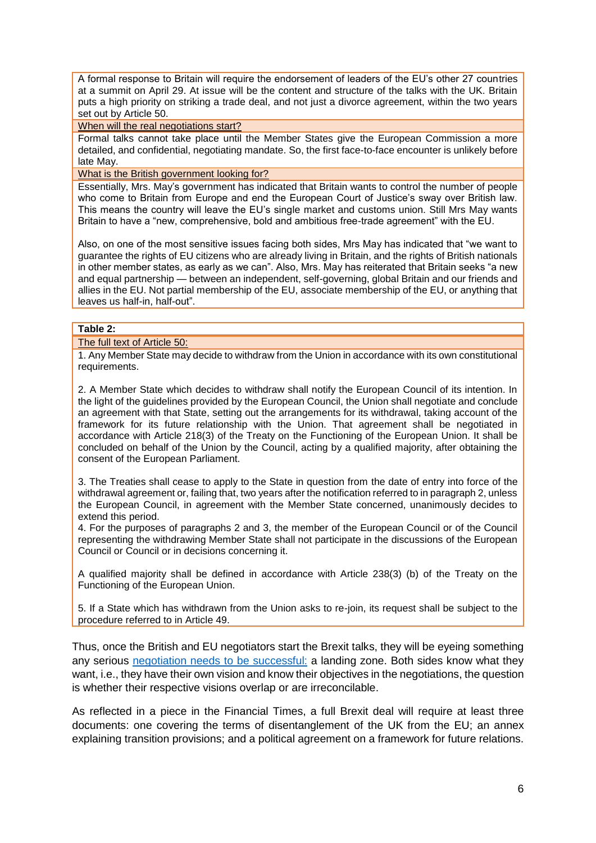A formal response to Britain will require the endorsement of leaders of the EU's other 27 countries at a summit on April 29. At issue will be the content and structure of the talks with the UK. Britain puts a high priority on striking a trade deal, and not just a divorce agreement, within the two years set out by Article 50.

#### When will the real negotiations start?

Formal talks cannot take place until the Member States give the European Commission a more detailed, and confidential, negotiating mandate. So, the first face-to-face encounter is unlikely before late May.

What is the British government looking for?

Essentially, Mrs. May's government has indicated that Britain wants to control the number of people who come to Britain from Europe and end the European Court of Justice's sway over British law. This means the country will leave the EU's single market and customs union. Still Mrs May wants Britain to have a "new, comprehensive, bold and ambitious free-trade agreement" with the EU.

Also, on one of the most sensitive issues facing both sides, Mrs May has indicated that "we want to guarantee the rights of EU citizens who are already living in Britain, and the rights of British nationals in other member states, as early as we can". Also, Mrs. May has reiterated that Britain seeks "a new and equal partnership — between an independent, self-governing, global Britain and our friends and allies in the EU. Not partial membership of the EU, associate membership of the EU, or anything that leaves us half-in, half-out".

#### **Table 2:**

#### The full text of Article 50:

1. Any Member State may decide to withdraw from the Union in accordance with its own constitutional requirements.

2. A Member State which decides to withdraw shall notify the European Council of its intention. In the light of the guidelines provided by the European Council, the Union shall negotiate and conclude an agreement with that State, setting out the arrangements for its withdrawal, taking account of the framework for its future relationship with the Union. That agreement shall be negotiated in accordance with Article 218(3) of the Treaty on the Functioning of the European Union. It shall be concluded on behalf of the Union by the Council, acting by a qualified majority, after obtaining the consent of the European Parliament.

3. The Treaties shall cease to apply to the State in question from the date of entry into force of the withdrawal agreement or, failing that, two years after the notification referred to in paragraph 2, unless the European Council, in agreement with the Member State concerned, unanimously decides to extend this period.

4. For the purposes of paragraphs 2 and 3, the member of the European Council or of the Council representing the withdrawing Member State shall not participate in the discussions of the European Council or Council or in decisions concerning it.

A qualified majority shall be defined in accordance with Article 238(3) (b) of the Treaty on the Functioning of the European Union.

5. If a State which has withdrawn from the Union asks to re-join, its request shall be subject to the procedure referred to in Article 49.

Thus, once the British and EU negotiators start the Brexit talks, they will be eyeing something any serious [negotiation needs to be successful:](https://www.ft.com/content/360c6268-07d5-11e7-97d1-5e720a26771b?desktop=true&segmentId=7c8f09b9-9b61-4fbb-9430-9208a9e233c8#myft:notification:daily-email:content:headline:html) a landing zone. Both sides know what they want, i.e., they have their own vision and know their objectives in the negotiations, the question is whether their respective visions overlap or are irreconcilable.

As reflected in a piece in the Financial Times, a full Brexit deal will require at least three documents: one covering the terms of disentanglement of the UK from the EU; an annex explaining transition provisions; and a political agreement on a framework for future relations.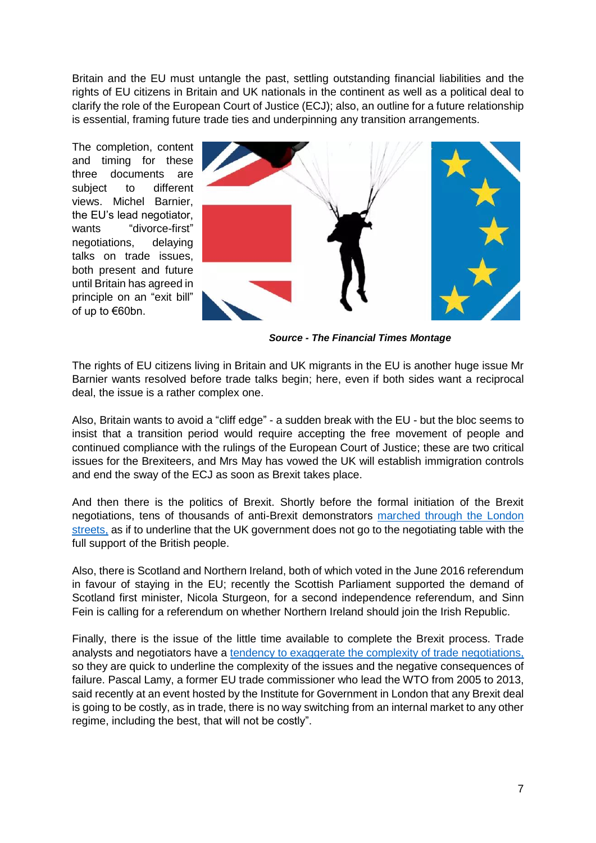Britain and the EU must untangle the past, settling outstanding financial liabilities and the rights of EU citizens in Britain and UK nationals in the continent as well as a political deal to clarify the role of the European Court of Justice (ECJ); also, an outline for a future relationship is essential, framing future trade ties and underpinning any transition arrangements.

The completion, content and timing for these three documents are subject to different views. Michel Barnier, the EU's lead negotiator, wants "divorce-first" negotiations, delaying talks on trade issues, both present and future until Britain has agreed in principle on an "exit bill" of up to €60bn.



*Source - The Financial Times Montage*

The rights of EU citizens living in Britain and UK migrants in the EU is another huge issue Mr Barnier wants resolved before trade talks begin; here, even if both sides want a reciprocal deal, the issue is a rather complex one.

Also, Britain wants to avoid a "cliff edge" - a sudden break with the EU - but the bloc seems to insist that a transition period would require accepting the free movement of people and continued compliance with the rulings of the European Court of Justice; these are two critical issues for the Brexiteers, and Mrs May has vowed the UK will establish immigration controls and end the sway of the ECJ as soon as Brexit takes place.

And then there is the politics of Brexit. Shortly before the formal initiation of the Brexit negotiations, tens of thousands of anti-Brexit demonstrators [marched through the London](https://www.ft.com/content/701857ba-1170-11e7-80f4-13e067d5072c?desktop=true&segmentId=7c8f09b9-9b61-4fbb-9430-9208a9e233c8#myft:notification:daily-email:content:headline:html)  [streets,](https://www.ft.com/content/701857ba-1170-11e7-80f4-13e067d5072c?desktop=true&segmentId=7c8f09b9-9b61-4fbb-9430-9208a9e233c8#myft:notification:daily-email:content:headline:html) as if to underline that the UK government does not go to the negotiating table with the full support of the British people.

Also, there is Scotland and Northern Ireland, both of which voted in the June 2016 referendum in favour of staying in the EU; recently the Scottish Parliament supported the demand of Scotland first minister, Nicola Sturgeon, for a second independence referendum, and Sinn Fein is calling for a referendum on whether Northern Ireland should join the Irish Republic.

Finally, there is the issue of the little time available to complete the Brexit process. Trade analysts and negotiators have a [tendency to exaggerate the complexity of trade negotiations,](https://www.ft.com/content/e38e90b1-95fc-396b-89cd-8494da9bb7eb?desktop=true&segmentId=7c8f09b9-9b61-4fbb-9430-9208a9e233c8%20-%20myft:notification:daily-email:content:headline:html) so they are quick to underline the complexity of the issues and the negative consequences of failure. Pascal Lamy, a former EU trade commissioner who lead the WTO from 2005 to 2013, said recently at an event hosted by the Institute for Government in London that any Brexit deal is going to be costly, as in trade, there is no way switching from an internal market to any other regime, including the best, that will not be costly".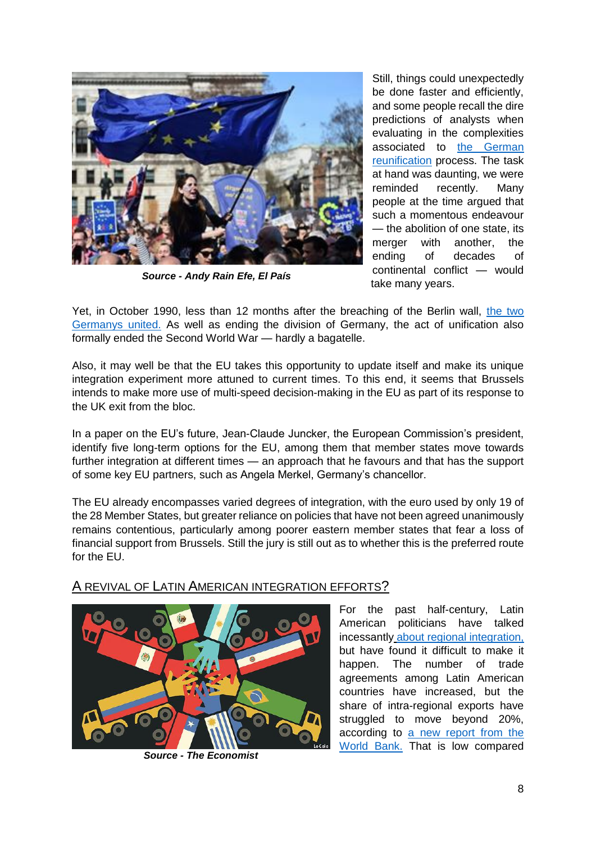

*Source - Andy Rain Efe, El País*

Still, things could unexpectedly be done faster and efficiently, and some people recall the dire predictions of analysts when evaluating in the complexities associated to the German [reunification](https://www.ft.com/content/7071d018-0d67-11e7-b030-768954394623) process. The task at hand was daunting, we were reminded recently. Many people at the time argued that such a momentous endeavour — the abolition of one state, its merger with another, the ending of decades of continental conflict — would take many years.

Yet, in October 1990, less than 12 months after the breaching of the Berlin wall, [the two](https://www.ft.com/content/7071d018-0d67-11e7-b030-768954394623)  [Germanys united.](https://www.ft.com/content/7071d018-0d67-11e7-b030-768954394623) As well as ending the division of Germany, the act of unification also formally ended the Second World War — hardly a bagatelle.

Also, it may well be that the EU takes this opportunity to update itself and make its unique integration experiment more attuned to current times. To this end, it seems that Brussels intends to make more use of multi-speed decision-making in the EU as part of its response to the UK exit from the bloc.

In a paper on the EU's future, Jean-Claude Juncker, the European Commission's president, identify five long-term options for the EU, among them that member states move towards further integration at different times — an approach that he favours and that has the support of some key EU partners, such as Angela Merkel, Germany's chancellor.

The EU already encompasses varied degrees of integration, with the euro used by only 19 of the 28 Member States, but greater reliance on policies that have not been agreed unanimously remains contentious, particularly among poorer eastern member states that fear a loss of financial support from Brussels. Still the jury is still out as to whether this is the preferred route for the EU.

## A REVIVAL OF LATIN AMERICAN INTEGRATION EFFORTS?



*Source - The Economist*

For the past half-century, Latin American politicians have talked incessantly [about regional integration,](https://www.economist.com/news/americas/21719478-fractured-region-needs-pull-together-trade-there-has-never-been-better-time-latin) but have found it difficult to make it happen. The number of trade agreements among Latin American countries have increased, but the share of intra-regional exports have struggled to move beyond 20%, according to [a new report from the](http://www.worldbank.org/en/news/press-release/2017/03/14/deeper-integration-vital-for-growth-in-latin-america-and-the-caribbean)  [World Bank.](http://www.worldbank.org/en/news/press-release/2017/03/14/deeper-integration-vital-for-growth-in-latin-america-and-the-caribbean) That is low compared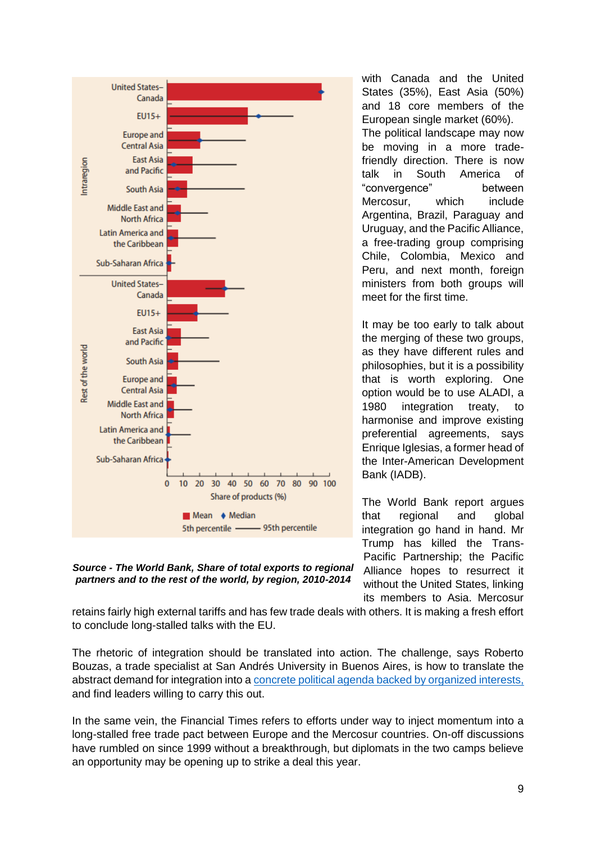

*Source - The World Bank, Share of total exports to regional partners and to the rest of the world, by region, 2010-2014*

with Canada and the United States (35%), East Asia (50%) and 18 core members of the European single market (60%). The political landscape may now be moving in a more tradefriendly direction. There is now talk in South America of "convergence" between Mercosur, which include Argentina, Brazil, Paraguay and Uruguay, and the Pacific Alliance, a free-trading group comprising Chile, Colombia, Mexico and Peru, and next month, foreign ministers from both groups will meet for the first time.

It may be too early to talk about the merging of these two groups, as they have different rules and philosophies, but it is a possibility that is worth exploring. One option would be to use ALADI, a 1980 integration treaty, to harmonise and improve existing preferential agreements, says Enrique Iglesias, a former head of the Inter-American Development Bank (IADB).

The World Bank report argues that regional and global integration go hand in hand. Mr Trump has killed the Trans-Pacific Partnership; the Pacific Alliance hopes to resurrect it without the United States, linking its members to Asia. Mercosur

retains fairly high external tariffs and has few trade deals with others. It is making a fresh effort to conclude long-stalled talks with the EU.

The rhetoric of integration should be translated into action. The challenge, says Roberto Bouzas, a trade specialist at San Andrés University in Buenos Aires, is how to translate the abstract demand for integration into a [concrete political agenda backed by organized interests,](https://www.economist.com/news/americas/21719478-fractured-region-needs-pull-together-trade-there-has-never-been-better-time-latin) and find leaders willing to carry this out.

In the same vein, the Financial Times refers to efforts under way to inject momentum into a long-stalled free trade pact between Europe and the Mercosur countries. On-off discussions have rumbled on since 1999 without a breakthrough, but diplomats in the two camps believe an opportunity may be opening up to strike a deal this year.